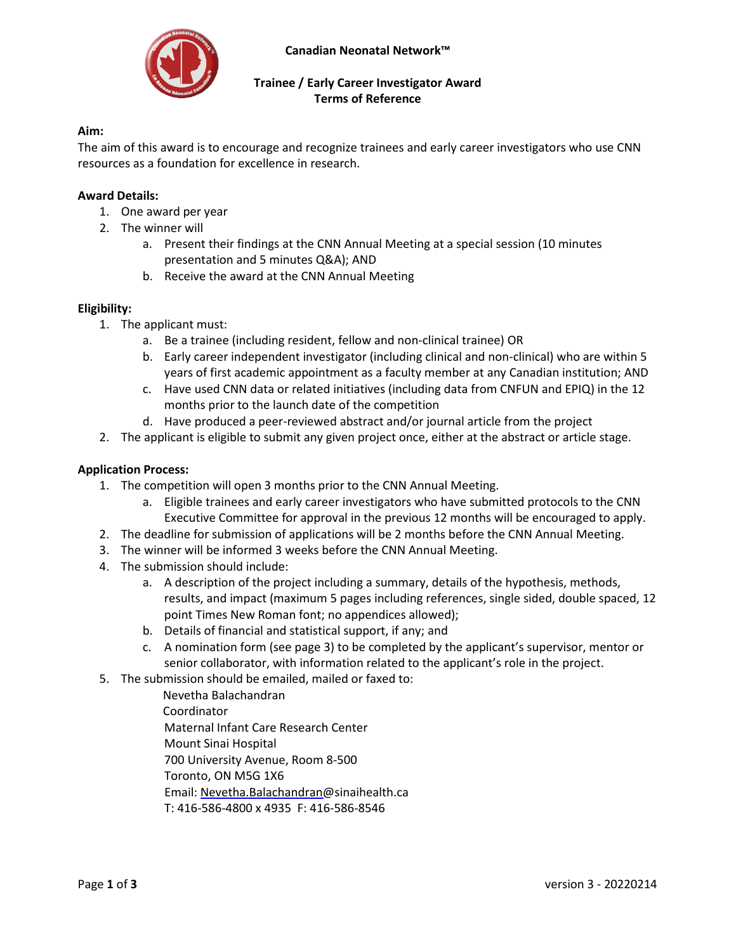

# **Trainee / Early Career Investigator Award Terms of Reference**

## **Aim:**

The aim of this award is to encourage and recognize trainees and early career investigators who use CNN resources as a foundation for excellence in research.

#### **Award Details:**

- 1. One award per year
- 2. The winner will
	- a. Present their findings at the CNN Annual Meeting at a special session (10 minutes presentation and 5 minutes Q&A); AND
	- b. Receive the award at the CNN Annual Meeting

### **Eligibility:**

- 1. The applicant must:
	- a. Be a trainee (including resident, fellow and non-clinical trainee) OR
	- b. Early career independent investigator (including clinical and non-clinical) who are within 5 years of first academic appointment as a faculty member at any Canadian institution; AND
	- c. Have used CNN data or related initiatives (including data from CNFUN and EPIQ) in the 12 months prior to the launch date of the competition
	- d. Have produced a peer-reviewed abstract and/or journal article from the project
- 2. The applicant is eligible to submit any given project once, either at the abstract or article stage.

#### **Application Process:**

- 1. The competition will open 3 months prior to the CNN Annual Meeting.
	- a. Eligible trainees and early career investigators who have submitted protocols to the CNN Executive Committee for approval in the previous 12 months will be encouraged to apply.
- 2. The deadline for submission of applications will be 2 months before the CNN Annual Meeting.
- 3. The winner will be informed 3 weeks before the CNN Annual Meeting.
- 4. The submission should include:
	- a. A description of the project including a summary, details of the hypothesis, methods, results, and impact (maximum 5 pages including references, single sided, double spaced, 12 point Times New Roman font; no appendices allowed);
	- b. Details of financial and statistical support, if any; and
	- c. A nomination form (see page 3) to be completed by the applicant's supervisor, mentor or senior collaborator, with information related to the applicant's role in the project.
- 5. The submission should be emailed, mailed or faxed to:
	- Nevetha Balachandran Coordinator Maternal Infant Care Research Center Mount Sinai Hospital 700 University Avenue, Room 8-500 Toronto, ON M5G 1X6 Email: Nevetha.Balachandran@sinaihealth.ca T: 416-586-4800 x 4935 F: 416-586-8546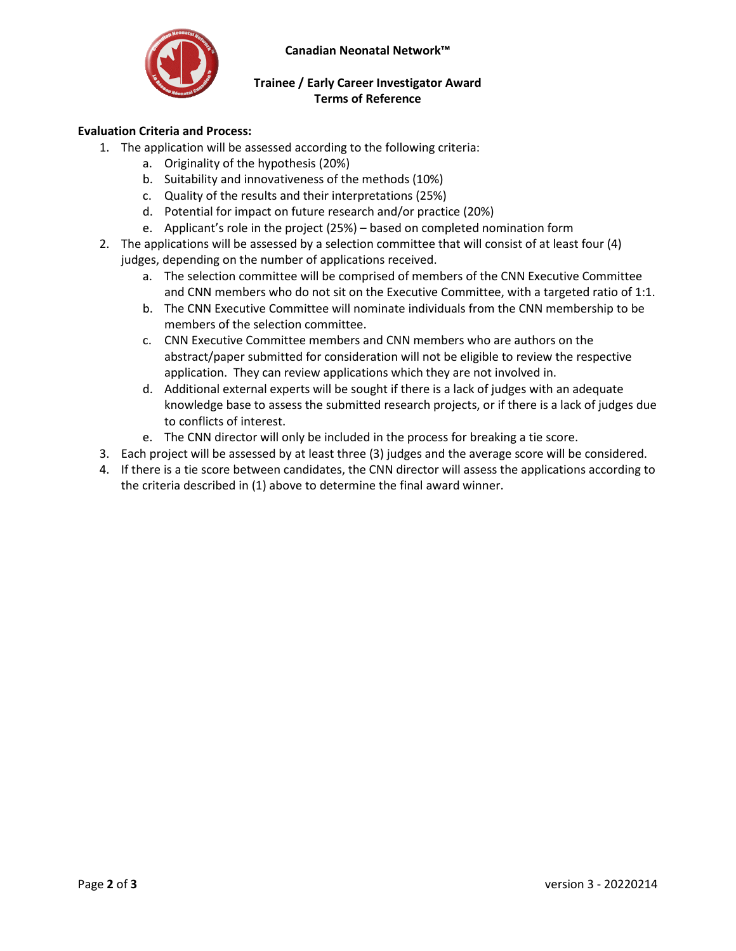**Canadian Neonatal Network™** 



## **Trainee / Early Career Investigator Award Terms of Reference**

## **Evaluation Criteria and Process:**

- 1. The application will be assessed according to the following criteria:
	- a. Originality of the hypothesis (20%)
	- b. Suitability and innovativeness of the methods (10%)
	- c. Quality of the results and their interpretations (25%)
	- d. Potential for impact on future research and/or practice (20%)
	- e. Applicant's role in the project (25%) based on completed nomination form
- 2. The applications will be assessed by a selection committee that will consist of at least four (4) judges, depending on the number of applications received.
	- a. The selection committee will be comprised of members of the CNN Executive Committee and CNN members who do not sit on the Executive Committee, with a targeted ratio of 1:1.
	- b. The CNN Executive Committee will nominate individuals from the CNN membership to be members of the selection committee.
	- c. CNN Executive Committee members and CNN members who are authors on the abstract/paper submitted for consideration will not be eligible to review the respective application. They can review applications which they are not involved in.
	- d. Additional external experts will be sought if there is a lack of judges with an adequate knowledge base to assess the submitted research projects, or if there is a lack of judges due to conflicts of interest.
	- e. The CNN director will only be included in the process for breaking a tie score.
- 3. Each project will be assessed by at least three (3) judges and the average score will be considered.
- 4. If there is a tie score between candidates, the CNN director will assess the applications according to the criteria described in (1) above to determine the final award winner.